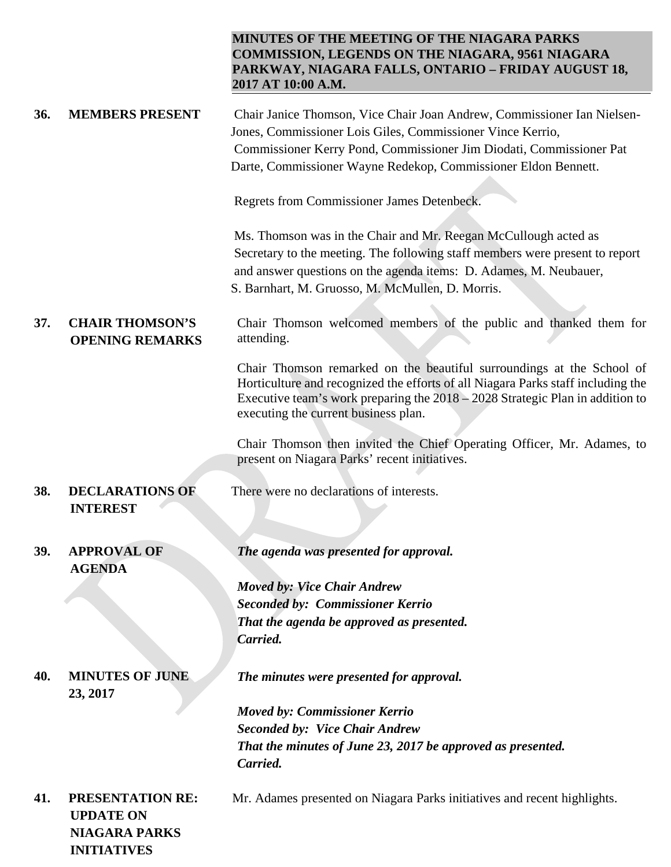| <b>MINUTES OF THE MEETING OF THE NIAGARA PARKS</b>      |
|---------------------------------------------------------|
| <b>COMMISSION, LEGENDS ON THE NIAGARA, 9561 NIAGARA</b> |
| PARKWAY, NIAGARA FALLS, ONTARIO – FRIDAY AUGUST 18,     |
| 2017 AT 10:00 A.M.                                      |

| 36.        | <b>MEMBERS PRESENT</b>                                                                    | Chair Janice Thomson, Vice Chair Joan Andrew, Commissioner Ian Nielsen-<br>Jones, Commissioner Lois Giles, Commissioner Vince Kerrio,<br>Commissioner Kerry Pond, Commissioner Jim Diodati, Commissioner Pat<br>Darte, Commissioner Wayne Redekop, Commissioner Eldon Bennett.       |
|------------|-------------------------------------------------------------------------------------------|--------------------------------------------------------------------------------------------------------------------------------------------------------------------------------------------------------------------------------------------------------------------------------------|
|            |                                                                                           | Regrets from Commissioner James Detenbeck.                                                                                                                                                                                                                                           |
|            |                                                                                           | Ms. Thomson was in the Chair and Mr. Reegan McCullough acted as<br>Secretary to the meeting. The following staff members were present to report<br>and answer questions on the agenda items: D. Adames, M. Neubauer,<br>S. Barnhart, M. Gruosso, M. McMullen, D. Morris.             |
| 37.        | <b>CHAIR THOMSON'S</b><br><b>OPENING REMARKS</b>                                          | Chair Thomson welcomed members of the public and thanked them for<br>attending.                                                                                                                                                                                                      |
|            |                                                                                           | Chair Thomson remarked on the beautiful surroundings at the School of<br>Horticulture and recognized the efforts of all Niagara Parks staff including the<br>Executive team's work preparing the $2018 - 2028$ Strategic Plan in addition to<br>executing the current business plan. |
|            |                                                                                           | Chair Thomson then invited the Chief Operating Officer, Mr. Adames, to<br>present on Niagara Parks' recent initiatives.                                                                                                                                                              |
| 38.        | <b>DECLARATIONS OF</b><br><b>INTEREST</b>                                                 | There were no declarations of interests.                                                                                                                                                                                                                                             |
| <b>39.</b> | <b>APPROVAL OF</b><br><b>AGENDA</b>                                                       | The agenda was presented for approval.                                                                                                                                                                                                                                               |
|            |                                                                                           | <b>Moved by: Vice Chair Andrew</b>                                                                                                                                                                                                                                                   |
|            |                                                                                           | <b>Seconded by: Commissioner Kerrio</b>                                                                                                                                                                                                                                              |
|            |                                                                                           | That the agenda be approved as presented.                                                                                                                                                                                                                                            |
|            |                                                                                           | Carried.                                                                                                                                                                                                                                                                             |
| 40.        | <b>MINUTES OF JUNE</b><br>23, 2017                                                        | The minutes were presented for approval.                                                                                                                                                                                                                                             |
|            |                                                                                           | <b>Moved by: Commissioner Kerrio</b>                                                                                                                                                                                                                                                 |
|            |                                                                                           | <b>Seconded by: Vice Chair Andrew</b>                                                                                                                                                                                                                                                |
|            |                                                                                           | That the minutes of June 23, 2017 be approved as presented.<br>Carried.                                                                                                                                                                                                              |
| 41.        | <b>PRESENTATION RE:</b><br><b>UPDATE ON</b><br><b>NIAGARA PARKS</b><br><b>INITIATIVES</b> | Mr. Adames presented on Niagara Parks initiatives and recent highlights.                                                                                                                                                                                                             |